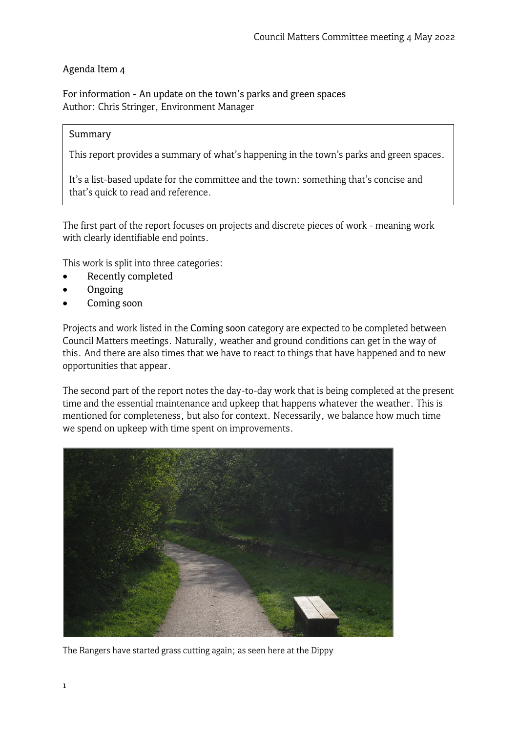## Agenda Item 4

For information - An update on the town's parks and green spaces Author: Chris Stringer, Environment Manager

#### Summary

This report provides a summary of what's happening in the town's parks and green spaces.

It's a list-based update for the committee and the town: something that's concise and that's quick to read and reference.

The first part of the report focuses on projects and discrete pieces of work - meaning work with clearly identifiable end points.

This work is split into three categories:

- Recently completed
- Ongoing
- Coming soon

Projects and work listed in the Coming soon category are expected to be completed between Council Matters meetings. Naturally, weather and ground conditions can get in the way of this. And there are also times that we have to react to things that have happened and to new opportunities that appear.

The second part of the report notes the day-to-day work that is being completed at the present time and the essential maintenance and upkeep that happens whatever the weather. This is mentioned for completeness, but also for context. Necessarily, we balance how much time we spend on upkeep with time spent on improvements.



The Rangers have started grass cutting again; as seen here at the Dippy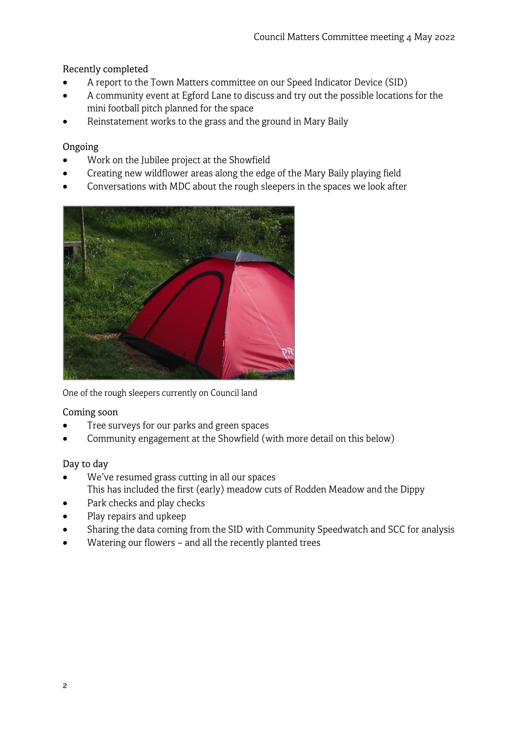# Recently completed

- A report to the Town Matters committee on our Speed Indicator Device (SID)
- A community event at Egford Lane to discuss and try out the possible locations for the mini football pitch planned for the space
- Reinstatement works to the grass and the ground in Mary Baily

## Ongoing

- Work on the Jubilee project at the Showfield
- Creating new wildflower areas along the edge of the Mary Baily playing field
- Conversations with MDC about the rough sleepers in the spaces we look after



One of the rough sleepers currently on Council land

#### Coming soon

- Tree surveys for our parks and green spaces
- Community engagement at the Showfield (with more detail on this below)

#### Day to day

- We've resumed grass cutting in all our spaces This has included the first (early) meadow cuts of Rodden Meadow and the Dippy
- Park checks and play checks
- Play repairs and upkeep
- Sharing the data coming from the SID with Community Speedwatch and SCC for analysis
- Watering our flowers and all the recently planted trees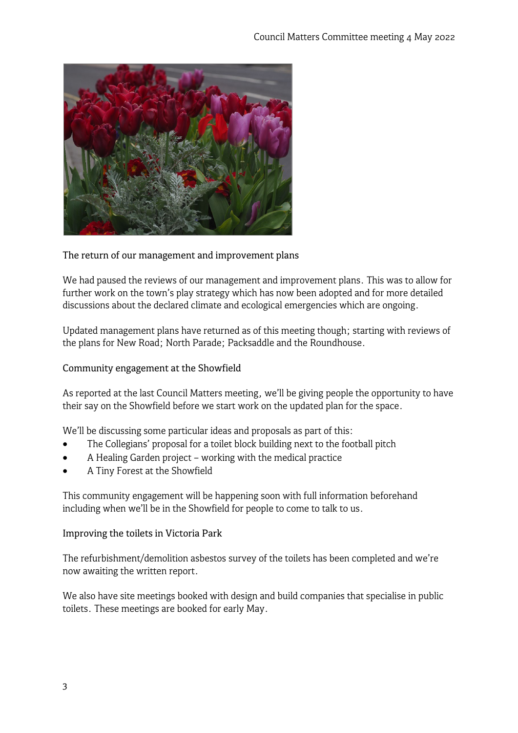

#### The return of our management and improvement plans

We had paused the reviews of our management and improvement plans. This was to allow for further work on the town's play strategy which has now been adopted and for more detailed discussions about the declared climate and ecological emergencies which are ongoing.

Updated management plans have returned as of this meeting though; starting with reviews of the plans for New Road; North Parade; Packsaddle and the Roundhouse.

#### Community engagement at the Showfield

As reported at the last Council Matters meeting, we'll be giving people the opportunity to have their say on the Showfield before we start work on the updated plan for the space.

We'll be discussing some particular ideas and proposals as part of this:

- The Collegians' proposal for a toilet block building next to the football pitch
- A Healing Garden project working with the medical practice
- A Tiny Forest at the Showfield

This community engagement will be happening soon with full information beforehand including when we'll be in the Showfield for people to come to talk to us.

#### Improving the toilets in Victoria Park

The refurbishment/demolition asbestos survey of the toilets has been completed and we're now awaiting the written report.

We also have site meetings booked with design and build companies that specialise in public toilets. These meetings are booked for early May.